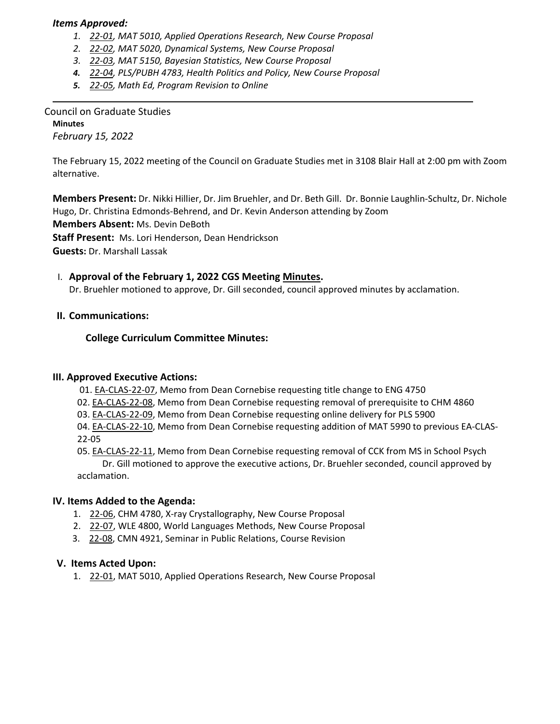#### *Items Approved:*

- *1. 22‐[01,](https://castle.eiu.edu/eiucgs/currentagendaitems/agenda22-01.pdf) MAT 5010, Applied Operations Research, New Course Proposal*
- *2. 22‐[02,](https://castle.eiu.edu/eiucgs/currentagendaitems/agenda22-02.pdf) MAT 5020, Dynamical Systems, New Course Proposal*
- *3. 22‐[03,](https://castle.eiu.edu/eiucgs/currentagendaitems/agenda22-03.pdf) MAT 5150, Bayesian Statistics, New Course Proposal*
- *4. 22‐[04,](https://castle.eiu.edu/eiucgs/currentagendaitems/agenda22-04.pdf) PLS/PUBH 4783, Health Politics and Policy, New Course Proposal*
- *5. 22‐[05,](https://castle.eiu.edu/eiucgs/currentagendaitems/agenda22-05.pdf) Math Ed, Program Revision to Online*

Council on Graduate Studies **Minutes** *February 15, 2022*

The February 15, 2022 meeting of the Council on Graduate Studies met in 3108 Blair Hall at 2:00 pm with Zoom alternative.

**Members Present:** Dr. Nikki Hillier, Dr. Jim Bruehler, and Dr. Beth Gill. Dr. Bonnie Laughlin‐Schultz, Dr. Nichole Hugo, Dr. Christina Edmonds‐Behrend, and Dr. Kevin Anderson attending by Zoom

**Members Absent:** Ms. Devin DeBoth

**Staff Present:** Ms. Lori Henderson, Dean Hendrickson

**Guests:** Dr. Marshall Lassak

# I. **Approval of the February 1, 2022 CGS Meeting [Minutes.](https://castle.eiu.edu/eiucgs/currentminutes/Minutes2-1-22.pdf)**

Dr. Bruehler motioned to approve, Dr. Gill seconded, council approved minutes by acclamation.

## **II. Communications:**

## **College Curriculum Committee Minutes:**

#### **III. Approved Executive Actions:**

01. EA‐[CLAS](https://castle.eiu.edu/eiucgs/exec-actions/EA-CLAS-22-07.pdf)‐22‐07, Memo from Dean Cornebise requesting title change to ENG 4750

- 02. EA‐[CLAS](https://castle.eiu.edu/eiucgs/exec-actions/EA-CLAS-22-08.pdf)‐22‐08, Memo from Dean Cornebise requesting removal of prerequisite to CHM 4860
- 03. EA‐[CLAS](https://castle.eiu.edu/eiucgs/exec-actions/EA-CLAS-22-09.pdf)‐22‐09, Memo from Dean Cornebise requesting online delivery for PLS 5900

04. EA‐[CLAS](https://castle.eiu.edu/eiucgs/exec-actions/EA-CLAS-22-10.pdf)‐22‐10, Memo from Dean Cornebise requesting addition of MAT 5990 to previous EA‐CLAS‐ 22‐05

05. EA-[CLAS](https://castle.eiu.edu/eiucgs/exec-actions/EA-CLAS-22-11.pdf)-22-11, Memo from Dean Cornebise requesting removal of CCK from MS in School Psych Dr. Gill motioned to approve the executive actions, Dr. Bruehler seconded, council approved by acclamation.

# **IV. Items Added to the Agenda:**

- 1. 22‐[06,](https://castle.eiu.edu/eiucgs/currentagendaitems/agenda22-06.pdf) CHM 4780, X‐ray Crystallography, New Course Proposal
- 2. 22-[07,](https://castle.eiu.edu/eiucgs/currentagendaitems/agenda22-07.pdf) WLE 4800, World Languages Methods, New Course Proposal
- 3. 22-[08,](https://castle.eiu.edu/eiucgs/currentagendaitems/agenda22-08.pdf) CMN 4921, Seminar in Public Relations, Course Revision

#### **V. Items Acted Upon:**

1. 22‐[01,](https://castle.eiu.edu/eiucgs/currentagendaitems/agenda22-01.pdf) MAT 5010, Applied Operations Research, New Course Proposal